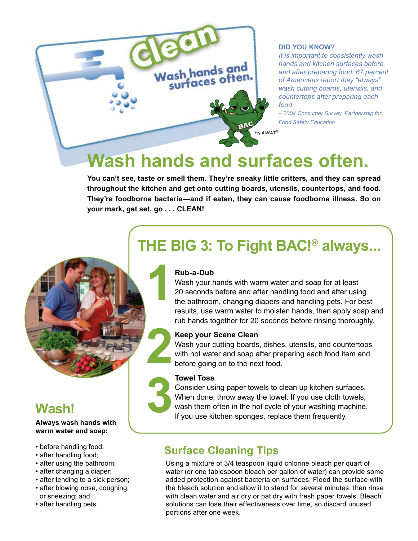

#### **Did You Know?**

*It is important to consistently wash hands and kitchen surfaces before and after preparing food. 67 percent of Americans report they "always" wash cutting boards, utensils, and countertops after preparing each food.*

*– 2004 Consumer Survey, Partnership for Food Safety Education*

# **Wash hands and surfaces often.**

**You can't see, taste or smell them. They're sneaky little critters, and they can spread throughout the kitchen and get onto cutting boards, utensils, countertops, and food. They're foodborne bacteria—and if eaten, they can cause foodborne illness. So on your mark, get set, go . . . CLEAN!**

## **THE BIG 3: To Fight BAC!® always...**

#### **Rub-a-Dub**

**1**  Wash your hands with warm water and soap for at least 20 seconds before and after handling food and after using the bathroom, changing diapers and handling pets. For best results, use warm water to moisten hands, then apply soap and rub hands together for 20 seconds before rinsing thoroughly.

#### **Keep your Scene Clean**

**2**<br>**2**<br>**2**<br>**2**<br>**2**<br>**2**<br>**1**<br>**1** Wash your cutting boards, dishes, utensils, and countertops with hot water and soap after preparing each food item and before going on to the next food.

#### **Towel Toss**

**3** Cor<br>White<br>If you Consider using paper towels to clean up kitchen surfaces. When done, throw away the towel. If you use cloth towels, wash them often in the hot cycle of your washing machine. If you use kitchen sponges, replace them frequently.

### **Surface Cleaning Tips** • before handling food;

Using a mixture of 3/4 teaspoon liquid chlorine bleach per quart of water (or one tablespoon bleach per gallon of water) can provide some added protection against bacteria on surfaces. Flood the surface with the bleach solution and allow it to stand for several minutes, then rinse with clean water and air dry or pat dry with fresh paper towels. Bleach solutions can lose their effectiveness over time, so discard unused portions after one week.

### **Wash!**

#### **Always wash hands with warm water and soap:**

- 
- after handling food;
- after using the bathroom;
- after changing a diaper;
- after tending to a sick person;
- after blowing nose, coughing, or sneezing; and
- after handling pets.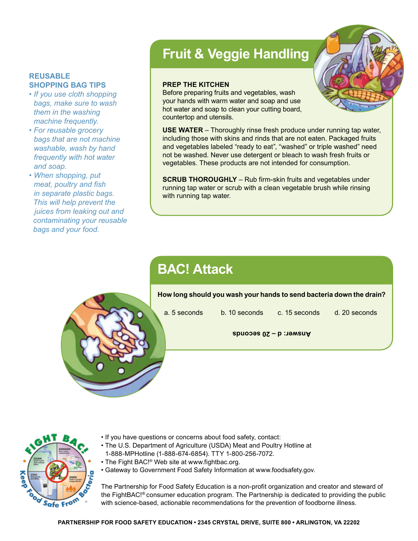#### **REUSABLE SHOPPING BAG TIPS**

- *If you use cloth shopping bags, make sure to wash them in the washing machine frequently.*
- *For reusable grocery bags that are not machine washable, wash by hand frequently with hot water and soap.*
- *When shopping, put meat, poultry and fish in separate plastic bags. This will help prevent the juices from leaking out and contaminating your reusable bags and your food.*

## **Fruit & Veggie Handling**

#### **Prep the kitchen**

Before preparing fruits and vegetables, wash your hands with warm water and soap and use hot water and soap to clean your cutting board, countertop and utensils.

**USE WATER** – Thoroughly rinse fresh produce under running tap water, including those with skins and rinds that are not eaten. Packaged fruits and vegetables labeled "ready to eat", "washed" or triple washed" need not be washed. Never use detergent or bleach to wash fresh fruits or vegetables. These products are not intended for consumption.

**SCRUB THOROUGHLY** – Rub firm-skin fruits and vegetables under running tap water or scrub with a clean vegetable brush while rinsing with running tap water.

## **BAC! Attack**

**How long should you wash your hands to send bacteria down the drain?**

a. 5 seconds b. 10 seconds c. 15 seconds d. 20 seconds

**Answer: d – 20 seconds**



- If you have questions or concerns about food safety, contact:
- The U.S. Department of Agriculture (USDA) Meat and Poultry Hotline at 1-888-MPHotline (1-888-674-6854). TTY 1-800-256-7072.
- The Fight BAC!® Web site at www.fightbac.org.
- Gateway to Government Food Safety Information at www.foodsafety.gov.

The Partnership for Food Safety Education is a non-profit organization and creator and steward of the FightBAC!® consumer education program. The Partnership is dedicated to providing the public with science-based, actionable recommendations for the prevention of foodborne illness.